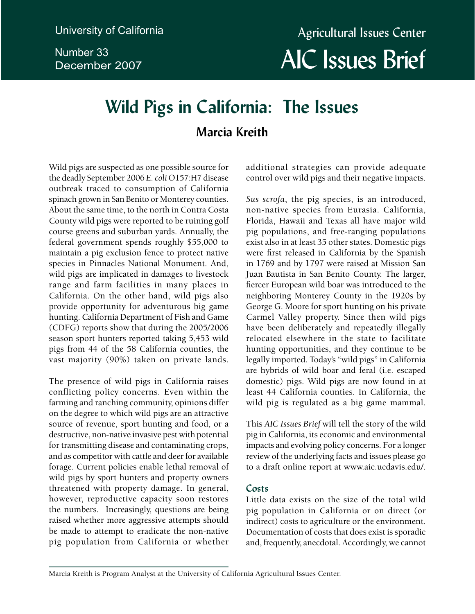Number 33 December 2007

# **Wild Pigs in California: The Issues Marcia Kreith**

Wild pigs are suspected as one possible source for the deadly September 2006 *E. coli* O157:H7 disease outbreak traced to consumption of California spinach grown in San Benito or Monterey counties. About the same time, to the north in Contra Costa County wild pigs were reported to be ruining golf course greens and suburban yards. Annually, the federal government spends roughly \$55,000 to maintain a pig exclusion fence to protect native species in Pinnacles National Monument. And, wild pigs are implicated in damages to livestock range and farm facilities in many places in California. On the other hand, wild pigs also provide opportunity for adventurous big game hunting. California Department of Fish and Game (CDFG) reports show that during the 2005/2006 season sport hunters reported taking 5,453 wild pigs from 44 of the 58 California counties, the vast majority (90%) taken on private lands.

The presence of wild pigs in California raises conflicting policy concerns. Even within the farming and ranching community, opinions differ on the degree to which wild pigs are an attractive source of revenue, sport hunting and food, or a destructive, non-native invasive pest with potential for transmitting disease and contaminating crops, and as competitor with cattle and deer for available forage. Current policies enable lethal removal of wild pigs by sport hunters and property owners threatened with property damage. In general, however, reproductive capacity soon restores the numbers. Increasingly, questions are being raised whether more aggressive attempts should be made to attempt to eradicate the non-native pig population from California or whether additional strategies can provide adequate control over wild pigs and their negative impacts.

*Sus scrofa*, the pig species, is an introduced, non-native species from Eurasia. California, Florida, Hawaii and Texas all have major wild pig populations, and free-ranging populations exist also in at least 35 other states. Domestic pigs were first released in California by the Spanish in 1769 and by 1797 were raised at Mission San Juan Bautista in San Benito County. The larger, fiercer European wild boar was introduced to the neighboring Monterey County in the 1920s by George G. Moore for sport hunting on his private Carmel Valley property. Since then wild pigs have been deliberately and repeatedly illegally relocated elsewhere in the state to facilitate hunting opportunities, and they continue to be legally imported. Today's "wild pigs" in California are hybrids of wild boar and feral (i.e. escaped domestic) pigs. Wild pigs are now found in at least 44 California counties. In California, the wild pig is regulated as a big game mammal.

This *AIC Issues Brief* will tell the story of the wild pig in California, its economic and environmental impacts and evolving policy concerns. For a longer review of the underlying facts and issues please go to a draft online report at www.aic.ucdavis.edu/.

### **Costs**

Little data exists on the size of the total wild pig population in California or on direct (or indirect) costs to agriculture or the environment. Documentation of costs that does exist is sporadic and, frequently, anecdotal. Accordingly, we cannot

Marcia Kreith is Program Analyst at the University of California Agricultural Issues Center.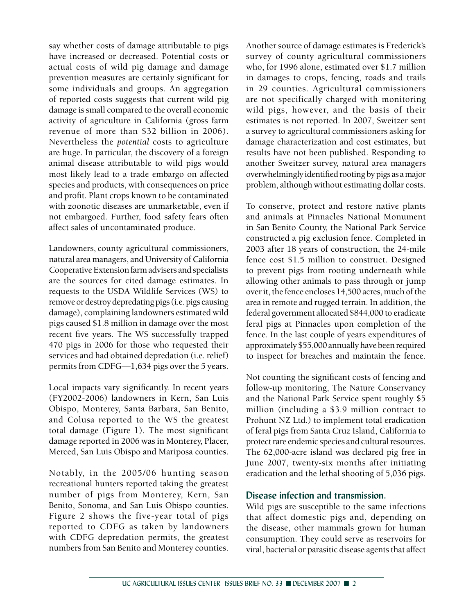say whether costs of damage attributable to pigs have increased or decreased. Potential costs or actual costs of wild pig damage and damage prevention measures are certainly significant for some individuals and groups. An aggregation of reported costs suggests that current wild pig damage is small compared to the overall economic activity of agriculture in California (gross farm revenue of more than \$32 billion in 2006). Nevertheless the *potential* costs to agriculture are huge. In particular, the discovery of a foreign animal disease attributable to wild pigs would most likely lead to a trade embargo on affected species and products, with consequences on price and profit. Plant crops known to be contaminated with zoonotic diseases are unmarketable, even if not embargoed. Further, food safety fears often affect sales of uncontaminated produce.

Landowners, county agricultural commissioners, natural area managers, and University of California Cooperative Extension farm advisers and specialists are the sources for cited damage estimates. In requests to the USDA Wildlife Services (WS) to remove or destroy depredating pigs (i.e. pigs causing damage), complaining landowners estimated wild pigs caused \$1.8 million in damage over the most recent five years. The WS successfully trapped 470 pigs in 2006 for those who requested their services and had obtained depredation (i.e. relief) permits from CDFG—1,634 pigs over the 5 years.

Local impacts vary significantly. In recent years (FY2002-2006) landowners in Kern, San Luis Obispo, Monterey, Santa Barbara, San Benito, and Colusa reported to the WS the greatest total damage (Figure 1). The most significant damage reported in 2006 was in Monterey, Placer, Merced, San Luis Obispo and Mariposa counties.

Notably, in the 2005/06 hunting season recreational hunters reported taking the greatest number of pigs from Monterey, Kern, San Benito, Sonoma, and San Luis Obispo counties. Figure 2 shows the five-year total of pigs reported to CDFG as taken by landowners with CDFG depredation permits, the greatest numbers from San Benito and Monterey counties.

Another source of damage estimates is Frederick's survey of county agricultural commissioners who, for 1996 alone, estimated over \$1.7 million in damages to crops, fencing, roads and trails in 29 counties. Agricultural commissioners are not specifically charged with monitoring wild pigs, however, and the basis of their estimates is not reported. In 2007, Sweitzer sent a survey to agricultural commissioners asking for damage characterization and cost estimates, but results have not been published. Responding to another Sweitzer survey, natural area managers overwhelmingly identified rooting by pigs as a major problem, although without estimating dollar costs.

To conserve, protect and restore native plants and animals at Pinnacles National Monument in San Benito County, the National Park Service constructed a pig exclusion fence. Completed in 2003 after 18 years of construction, the 24-mile fence cost \$1.5 million to construct. Designed to prevent pigs from rooting underneath while allowing other animals to pass through or jump over it, the fence encloses 14,500 acres, much of the area in remote and rugged terrain. In addition, the federal government allocated \$844,000 to eradicate feral pigs at Pinnacles upon completion of the fence. In the last couple of years expenditures of approximately \$55,000 annually have been required to inspect for breaches and maintain the fence.

Not counting the significant costs of fencing and follow-up monitoring, The Nature Conservancy and the National Park Service spent roughly \$5 million (including a \$3.9 million contract to Prohunt NZ Ltd.) to implement total eradication of feral pigs from Santa Cruz Island, California to protect rare endemic species and cultural resources. The 62,000-acre island was declared pig free in June 2007, twenty-six months after initiating eradication and the lethal shooting of 5,036 pigs.

#### **Disease infection and transmission.**

Wild pigs are susceptible to the same infections that affect domestic pigs and, depending on the disease, other mammals grown for human consumption. They could serve as reservoirs for viral, bacterial or parasitic disease agents that affect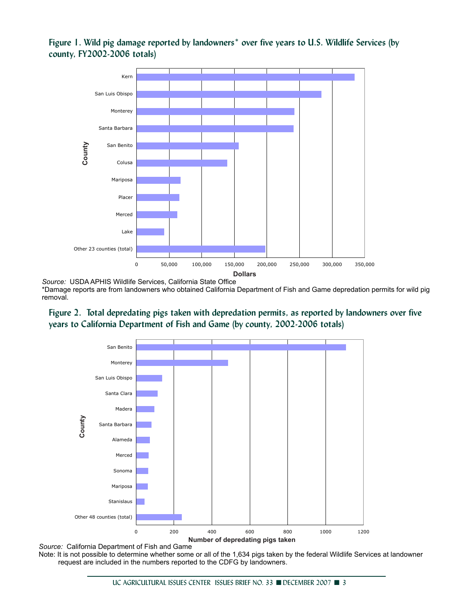**Figure 1. Wild pig damage reported by landowners\* over five years to U.S. Wildlife Services (by county, FY2002-2006 totals)**



*Source:* USDA APHIS Wildlife Services, California State Office \*Damage reports are from landowners who obtained California Department of Fish and Game depredation permits for wild pig removal.





*Source:* California Department of Fish and Game Note: It is not possible to determine whether some or all of the 1,634 pigs taken by the federal Wildlife Services at landowner request are included in the numbers reported to the CDFG by landowners.

UC AGRICULTURAL ISSUES CENTER ISSUES BRIEF NO. 33 ■ DECEMBER 2007 ■ 3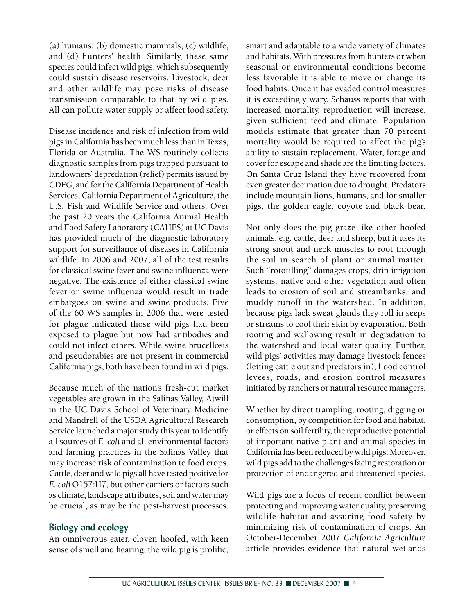(a) humans, (b) domestic mammals, (c) wildlife, and (d) hunters' health. Similarly, these same species could infect wild pigs, which subsequently could sustain disease reservoirs. Livestock, deer and other wildlife may pose risks of disease transmission comparable to that by wild pigs. All can pollute water supply or affect food safety.

Disease incidence and risk of infection from wild pigs in California has been much less than in Texas, Florida or Australia. The WS routinely collects diagnostic samples from pigs trapped pursuant to landowners' depredation (relief) permits issued by CDFG, and for the California Department of Health Services, California Department of Agriculture, the U.S. Fish and Wildlife Service and others. Over the past 20 years the California Animal Health and Food Safety Laboratory (CAHFS) at UC Davis has provided much of the diagnostic laboratory support for surveillance of diseases in California wildlife. In 2006 and 2007, all of the test results for classical swine fever and swine influenza were negative. The existence of either classical swine fever or swine influenza would result in trade embargoes on swine and swine products. Five of the 60 WS samples in 2006 that were tested for plague indicated those wild pigs had been exposed to plague but now had antibodies and could not infect others. While swine brucellosis and pseudorabies are not present in commercial California pigs, both have been found in wild pigs.

Because much of the nation's fresh-cut market vegetables are grown in the Salinas Valley, Atwill in the UC Davis School of Veterinary Medicine and Mandrell of the USDA Agricultural Research Service launched a major study this year to identify all sources of *E. coli* and all environmental factors and farming practices in the Salinas Valley that may increase risk of contamination to food crops. Cattle, deer and wild pigs all have tested positive for *E. coli* O157:H7, but other carriers or factors such as climate, landscape attributes, soil and water may be crucial, as may be the post-harvest processes.

### **Biology and ecology**

An omnivorous eater, cloven hoofed, with keen sense of smell and hearing, the wild pig is prolific, smart and adaptable to a wide variety of climates and habitats. With pressures from hunters or when seasonal or environmental conditions become less favorable it is able to move or change its food habits. Once it has evaded control measures it is exceedingly wary. Schauss reports that with increased mortality, reproduction will increase, given sufficient feed and climate. Population models estimate that greater than 70 percent mortality would be required to affect the pig's ability to sustain replacement. Water, forage and cover for escape and shade are the limiting factors. On Santa Cruz Island they have recovered from even greater decimation due to drought. Predators include mountain lions, humans, and for smaller pigs, the golden eagle, coyote and black bear.

Not only does the pig graze like other hoofed animals, e.g. cattle, deer and sheep, but it uses its strong snout and neck muscles to root through the soil in search of plant or animal matter. Such "rototilling" damages crops, drip irrigation systems, native and other vegetation and often leads to erosion of soil and streambanks, and muddy runoff in the watershed. In addition, because pigs lack sweat glands they roll in seeps or streams to cool their skin by evaporation. Both rooting and wallowing result in degradation to the watershed and local water quality. Further, wild pigs' activities may damage livestock fences (letting cattle out and predators in), flood control levees, roads, and erosion control measures initiated by ranchers or natural resource managers.

Whether by direct trampling, rooting, digging or consumption, by competition for food and habitat, or effects on soil fertility, the reproductive potential of important native plant and animal species in California has been reduced by wild pigs. Moreover, wild pigs add to the challenges facing restoration or protection of endangered and threatened species.

Wild pigs are a focus of recent conflict between protecting and improving water quality, preserving wildlife habitat and assuring food safety by minimizing risk of contamination of crops. An October-December 2007 *California Agriculture*  article provides evidence that natural wetlands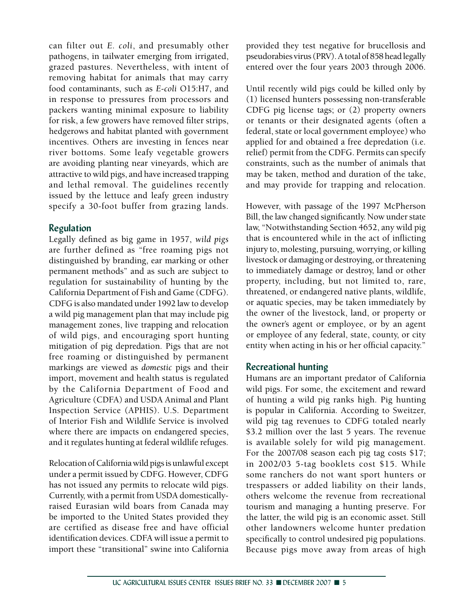can filter out *E. coli*, and presumably other pathogens, in tailwater emerging from irrigated, grazed pastures. Nevertheless, with intent of removing habitat for animals that may carry food contaminants, such as *E-coli* O15:H7, and in response to pressures from processors and packers wanting minimal exposure to liability for risk, a few growers have removed filter strips, hedgerows and habitat planted with government incentives. Others are investing in fences near river bottoms. Some leafy vegetable growers are avoiding planting near vineyards, which are attractive to wild pigs, and have increased trapping and lethal removal. The guidelines recently issued by the lettuce and leafy green industry specify a 30-foot buffer from grazing lands.

### **Regulation**

Legally defined as big game in 1957, *wild pigs*  are further defined as "free roaming pigs not distinguished by branding, ear marking or other permanent methods" and as such are subject to regulation for sustainability of hunting by the California Department of Fish and Game (CDFG). CDFG is also mandated under 1992 law to develop a wild pig management plan that may include pig management zones, live trapping and relocation of wild pigs, and encouraging sport hunting mitigation of pig depredation. Pigs that are not free roaming or distinguished by permanent markings are viewed as *domestic* pigs and their import, movement and health status is regulated by the California Department of Food and Agriculture (CDFA) and USDA Animal and Plant Inspection Service (APHIS). U.S. Department of Interior Fish and Wildlife Service is involved where there are impacts on endangered species, and it regulates hunting at federal wildlife refuges.

Relocation of California wild pigs is unlawful except under a permit issued by CDFG. However, CDFG has not issued any permits to relocate wild pigs. Currently, with a permit from USDA domesticallyraised Eurasian wild boars from Canada may be imported to the United States provided they are certified as disease free and have official identification devices. CDFA will issue a permit to import these "transitional" swine into California

provided they test negative for brucellosis and pseudorabies virus (PRV). A total of 858 head legally entered over the four years 2003 through 2006.

Until recently wild pigs could be killed only by (1) licensed hunters possessing non-transferable CDFG pig license tags; or (2) property owners or tenants or their designated agents (often a federal, state or local government employee) who applied for and obtained a free depredation (i.e. relief) permit from the CDFG. Permits can specify constraints, such as the number of animals that may be taken, method and duration of the take, and may provide for trapping and relocation.

However, with passage of the 1997 McPherson Bill, the law changed significantly. Now under state law, "Notwithstanding Section 4652, any wild pig that is encountered while in the act of inflicting injury to, molesting, pursuing, worrying, or killing livestock or damaging or destroying, or threatening to immediately damage or destroy, land or other property, including, but not limited to, rare, threatened, or endangered native plants, wildlife, or aquatic species, may be taken immediately by the owner of the livestock, land, or property or the owner's agent or employee, or by an agent or employee of any federal, state, county, or city entity when acting in his or her official capacity."

### **Recreational hunting**

Humans are an important predator of California wild pigs. For some, the excitement and reward of hunting a wild pig ranks high. Pig hunting is popular in California. According to Sweitzer, wild pig tag revenues to CDFG totaled nearly \$3.2 million over the last 5 years. The revenue is available solely for wild pig management. For the 2007/08 season each pig tag costs \$17; in 2002/03 5-tag booklets cost \$15. While some ranchers do not want sport hunters or trespassers or added liability on their lands, others welcome the revenue from recreational tourism and managing a hunting preserve. For the latter, the wild pig is an economic asset. Still other landowners welcome hunter predation specifically to control undesired pig populations. Because pigs move away from areas of high